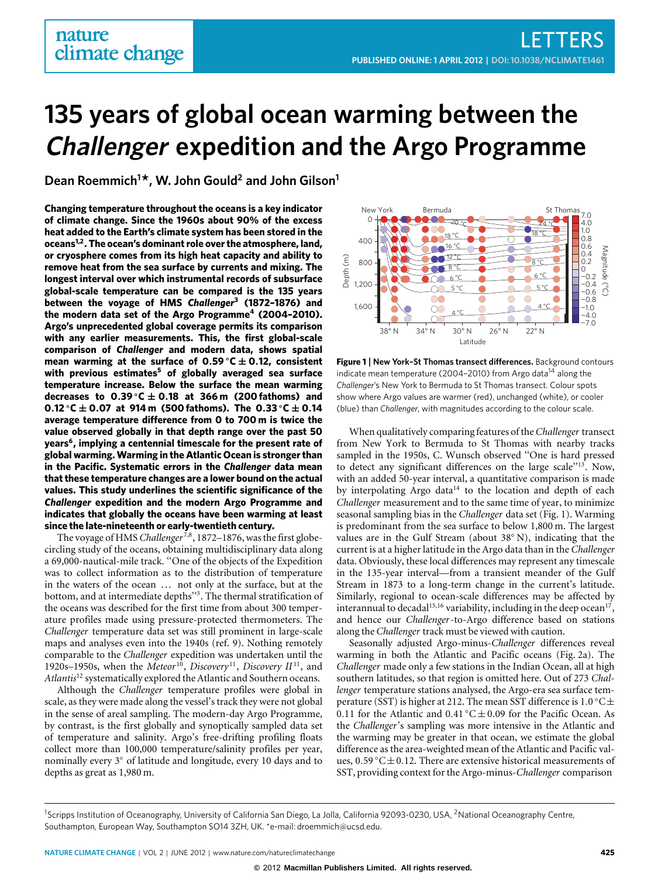# **135 years of global ocean warming between the Challenger expedition and the Argo Programme**

**Dean Roemmich<sup>1</sup> \*, W. John Gould<sup>2</sup> and John Gilson<sup>1</sup>**

**Changing temperature throughout the oceans is a key indicator of climate change. Since the 1960s about 90% of the excess heat added to the Earth's climate system has been stored in the oceans[1](#page-2-0)[,2](#page-2-1). The ocean's dominant role over the atmosphere, land, or cryosphere comes from its high heat capacity and ability to remove heat from the sea surface by currents and mixing. The longest interval over which instrumental records of subsurface global-scale temperature can be compared is the 135 years between the voyage of HMS** *Challenger***[3](#page-2-2) (1872–1876) and the modern data set of the Argo Programme[4](#page-2-3) (2004–2010). Argo's unprecedented global coverage permits its comparison with any earlier measurements. This, the first global-scale comparison of** *Challenger* **and modern data, shows spatial mean warming at the surface of**  $0.59 \degree C \pm 0.12$ **, consistent with previous estimates[5](#page-2-4) of globally averaged sea surface temperature increase. Below the surface the mean warming decreases to 0**.**39** ◦**C** ± **0**.**18 at 366 m (200 fathoms) and 0**.**12** ◦**C** ± **0**.**07 at 914 m (500 fathoms). The 0**.**33** ◦**C** ± **0**.**14 average temperature difference from 0 to 700 m is twice the value observed globally in that depth range over the past 50 years[6](#page-2-5) , implying a centennial timescale for the present rate of global warming.Warming in the Atlantic Ocean is stronger than in the Pacific. Systematic errors in the** *Challenger* **data mean that these temperature changes are a lower bound on the actual values. This study underlines the scientific significance of the** *Challenger* **expedition and the modern Argo Programme and indicates that globally the oceans have been warming at least since the late-nineteenth or early-twentieth century.**

The voyage of HMS Challenger<sup>[7](#page-2-6)[,8](#page-2-7)</sup>, 1872–1876, was the first globecircling study of the oceans, obtaining multidisciplinary data along a 69,000-nautical-mile track. ''One of the objects of the Expedition was to collect information as to the distribution of temperature in the waters of the ocean ... not only at the surface, but at the bottom, and at intermediate depths''[3](#page-2-2) . The thermal stratification of the oceans was described for the first time from about 300 temperature profiles made using pressure-protected thermometers. The *Challenger* temperature data set was still prominent in large-scale maps and analyses even into the 1940s (ref. [9\)](#page-2-8). Nothing remotely comparable to the *Challenger* expedition was undertaken until the 1920s–1950s, when the *Meteor*<sup>[10](#page-3-0)</sup>, *Discovery*<sup>[11](#page-3-1)</sup>, *Discovery* II<sup>11</sup>, and *Atlantis*[12](#page-3-2) systematically explored the Atlantic and Southern oceans.

Although the *Challenger* temperature profiles were global in scale, as they were made along the vessel's track they were not global in the sense of areal sampling. The modern-day Argo Programme, by contrast, is the first globally and synoptically sampled data set of temperature and salinity. Argo's free-drifting profiling floats collect more than 100,000 temperature/salinity profiles per year, nominally every 3◦ of latitude and longitude, every 10 days and to depths as great as 1,980 m.



<span id="page-0-0"></span>**Figure 1** | **New York–St Thomas transect differences.** Background contours indicate mean temperature (2004–2010) from Argo data<sup>[14](#page-3-3)</sup> along the *Challenger*'s New York to Bermuda to St Thomas transect. Colour spots show where Argo values are warmer (red), unchanged (white), or cooler (blue) than *Challenger*, with magnitudes according to the colour scale.

When qualitatively comparing features of the*Challenger* transect from New York to Bermuda to St Thomas with nearby tracks sampled in the 1950s, C. Wunsch observed ''One is hard pressed to detect any significant differences on the large scale''[13](#page-3-4). Now, with an added 50-year interval, a quantitative comparison is made by interpolating Argo data<sup>[14](#page-3-3)</sup> to the location and depth of each *Challenger* measurement and to the same time of year, to minimize seasonal sampling bias in the *Challenger* data set [\(Fig. 1\)](#page-0-0). Warming is predominant from the sea surface to below 1,800 m. The largest values are in the Gulf Stream (about 38◦ N), indicating that the current is at a higher latitude in the Argo data than in the *Challenger* data. Obviously, these local differences may represent any timescale in the 135-year interval—from a transient meander of the Gulf Stream in 1873 to a long-term change in the current's latitude. Similarly, regional to ocean-scale differences may be affected by interannual to decadal<sup>[15](#page-3-5)[,16](#page-3-6)</sup> variability, including in the deep ocean<sup>[17](#page-3-7)</sup> , and hence our *Challenger*-to-Argo difference based on stations along the *Challenger* track must be viewed with caution.

Seasonally adjusted Argo-minus-*Challenger* differences reveal warming in both the Atlantic and Pacific oceans [\(Fig. 2a](#page-1-0)). The *Challenger* made only a few stations in the Indian Ocean, all at high southern latitudes, so that region is omitted here. Out of 273 *Challenger* temperature stations analysed, the Argo-era sea surface temperature (SST) is higher at 212. The mean SST difference is 1.0 °C $\pm$ 0.11 for the Atlantic and 0.41 °C $\pm$ 0.09 for the Pacific Ocean. As the *Challenger*'s sampling was more intensive in the Atlantic and the warming may be greater in that ocean, we estimate the global difference as the area-weighted mean of the Atlantic and Pacific values,  $0.59\textdegree C \pm 0.12$ . There are extensive historical measurements of SST, providing context for the Argo-minus-*Challenger* comparison

<sup>&</sup>lt;sup>1</sup>Scripps Institution of Oceanography, University of California San Diego, La Jolla, California 92093-0230, USA, <sup>2</sup>National Oceanography Centre, Southampton, European Way, Southampton SO14 3ZH, UK. \*e-mail: [droemmich@ucsd.edu.](mailto:droemmich@ucsd.edu)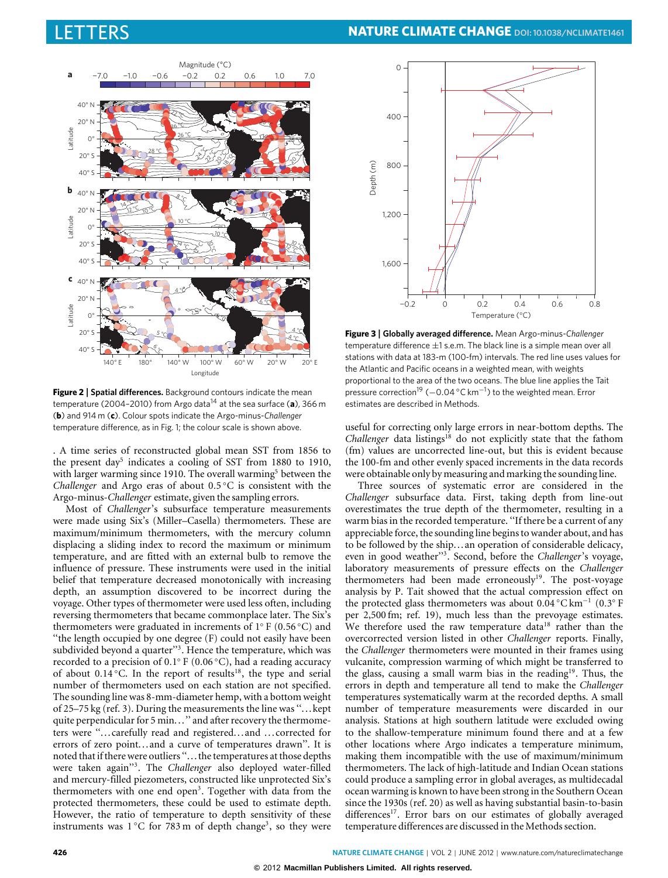

<span id="page-1-0"></span>**Figure 2** | Spatial differences. Background contours indicate the mean temperature (2004–2010) from Argo data[14](#page-3-3) at the sea surface (**a**), 366 m (**b**) and 914 m (**c**). Colour spots indicate the Argo-minus-*Challenger* temperature difference, as in Fig. 1; the colour scale is shown above.

. A time series of reconstructed global mean SST from 1856 to the present day<sup>[5](#page-2-4)</sup> indicates a cooling of SST from 1880 to 1910, with larger warming since 1910. The overall warming<sup>[5](#page-2-4)</sup> between the *Challenger* and Argo eras of about 0.5 ◦C is consistent with the Argo-minus-*Challenger* estimate, given the sampling errors.

Most of *Challenger*'s subsurface temperature measurements were made using Six's (Miller–Casella) thermometers. These are maximum/minimum thermometers, with the mercury column displacing a sliding index to record the maximum or minimum temperature, and are fitted with an external bulb to remove the influence of pressure. These instruments were used in the initial belief that temperature decreased monotonically with increasing depth, an assumption discovered to be incorrect during the voyage. Other types of thermometer were used less often, including reversing thermometers that became commonplace later. The Six's thermometers were graduated in increments of  $1° F (0.56 °C)$  and ''the length occupied by one degree (F) could not easily have been subdivided beyond a quarter"<sup>[3](#page-2-2)</sup>. Hence the temperature, which was recorded to a precision of 0.1 ◦ F (0.06 ◦C), had a reading accuracy of about 0.14 °C. In the report of results<sup>[18](#page-3-8)</sup>, the type and serial number of thermometers used on each station are not specified. The sounding line was 8-mm-diameter hemp, with a bottom weight of 25–75 kg (ref. [3\)](#page-2-2). During the measurements the line was ''...kept quite perpendicular for 5 min...'' and after recovery the thermometers were ''... carefully read and registered... and ... corrected for errors of zero point... and a curve of temperatures drawn''. It is noted that if there were outliers ''... the temperatures at those depths were taken again''[3](#page-2-2) . The *Challenger* also deployed water-filled and mercury-filled piezometers, constructed like unprotected Six's thermometers with one end open<sup>[3](#page-2-2)</sup>. Together with data from the protected thermometers, these could be used to estimate depth. However, the ratio of temperature to depth sensitivity of these instruments was  $1^{\circ}$ C for 78[3](#page-2-2) m of depth change<sup>3</sup>, so they were



<span id="page-1-1"></span>**Figure 3** | **Globally averaged difference.** Mean Argo-minus-*Challenger* temperature difference  $\pm 1$  s.e.m. The black line is a simple mean over all stations with data at 183-m (100-fm) intervals. The red line uses values for the Atlantic and Pacific oceans in a weighted mean, with weights proportional to the area of the two oceans. The blue line applies the Tait pressure correction<sup>[19](#page-3-9)</sup> (-0.04 °C km<sup>-1</sup>) to the weighted mean. Error estimates are described in Methods.

useful for correcting only large errors in near-bottom depths. The *Challenger* data listings<sup>[18](#page-3-8)</sup> do not explicitly state that the fathom (fm) values are uncorrected line-out, but this is evident because the 100-fm and other evenly spaced increments in the data records were obtainable only by measuring and marking the sounding line.

Three sources of systematic error are considered in the *Challenger* subsurface data. First, taking depth from line-out overestimates the true depth of the thermometer, resulting in a warm bias in the recorded temperature. ''If there be a current of any appreciable force, the sounding line begins to wander about, and has to be followed by the ship... an operation of considerable delicacy, even in good weather''[3](#page-2-2) . Second, before the *Challenger*'s voyage, laboratory measurements of pressure effects on the *Challenger* thermometers had been made erroneously<sup>[19](#page-3-9)</sup>. The post-voyage analysis by P. Tait showed that the actual compression effect on the protected glass thermometers was about 0.04 °C km<sup>-1</sup> (0.3° F per 2,500 fm; ref. [19\)](#page-3-9), much less than the prevoyage estimates. We therefore used the raw temperature data<sup>[18](#page-3-8)</sup> rather than the overcorrected version listed in other *Challenger* reports. Finally, the *Challenger* thermometers were mounted in their frames using vulcanite, compression warming of which might be transferred to the glass, causing a small warm bias in the reading<sup>[19](#page-3-9)</sup>. Thus, the errors in depth and temperature all tend to make the *Challenger* temperatures systematically warm at the recorded depths. A small number of temperature measurements were discarded in our analysis. Stations at high southern latitude were excluded owing to the shallow-temperature minimum found there and at a few other locations where Argo indicates a temperature minimum, making them incompatible with the use of maximum/minimum thermometers. The lack of high-latitude and Indian Ocean stations could produce a sampling error in global averages, as multidecadal ocean warming is known to have been strong in the Southern Ocean since the 1930s (ref. [20\)](#page-3-10) as well as having substantial basin-to-basin differences<sup>[17](#page-3-7)</sup>. Error bars on our estimates of globally averaged temperature differences are discussed in the Methods section.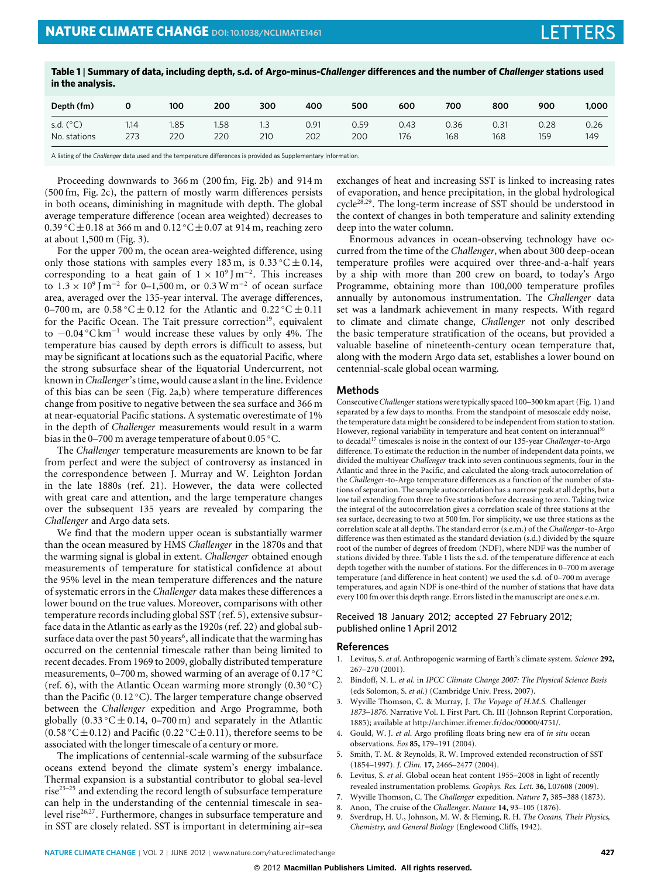<span id="page-2-9"></span>

| Table 1 Summary of data, including depth, s.d. of Argo-minus-Challenger differences and the number of Challenger stations used |  |
|--------------------------------------------------------------------------------------------------------------------------------|--|
| in the analysis.                                                                                                               |  |

| Depth (fm)         |      | 100 | 200  | 300 | 400  | 500  | 600  | 700  | 800  | 900  | 1,000 |
|--------------------|------|-----|------|-----|------|------|------|------|------|------|-------|
| s.d. $(^{\circ}C)$ | 1.14 | .85 | 1.58 | 210 | 0.91 | 0.59 | 0.43 | 0.36 | 0.31 | 0.28 | 0.26  |
| No. stations       | 273  | 220 | 220  |     | 202  | 200  | 176  | 168  | 168  | 159  | 149   |

A listing of the *Challenger* data used and the temperature differences is provided as Supplementary Information.

Proceeding downwards to 366 m (200 fm, [Fig. 2b](#page-1-0)) and 914 m (500 fm, [Fig. 2c](#page-1-0)), the pattern of mostly warm differences persists in both oceans, diminishing in magnitude with depth. The global average temperature difference (ocean area weighted) decreases to 0.39 °C $\pm$ 0.18 at 366 m and 0.12 °C $\pm$ 0.07 at 914 m, reaching zero at about 1,500 m [\(Fig. 3\)](#page-1-1).

For the upper 700 m, the ocean area-weighted difference, using only those stations with samples every 183 m, is  $0.33 \degree C \pm 0.14$ , corresponding to a heat gain of  $1 \times 10^9$  J m<sup>-2</sup>. This increases to  $1.3 \times 10^9$  J m<sup>-2</sup> for 0–1,500 m, or 0.3 W m<sup>-2</sup> of ocean surface area, averaged over the 135-year interval. The average differences, 0–700 m, are  $0.58\textdegree C \pm 0.12$  for the Atlantic and  $0.22\textdegree C \pm 0.11$ for the Pacific Ocean. The Tait pressure correction<sup>[19](#page-3-9)</sup>, equivalent to  $-0.04$  °C km<sup>-1</sup> would increase these values by only 4%. The temperature bias caused by depth errors is difficult to assess, but may be significant at locations such as the equatorial Pacific, where the strong subsurface shear of the Equatorial Undercurrent, not known in*Challenger*'s time, would cause a slant in the line. Evidence of this bias can be seen [\(Fig. 2a](#page-1-0),b) where temperature differences change from positive to negative between the sea surface and 366 m at near-equatorial Pacific stations. A systematic overestimate of 1% in the depth of *Challenger* measurements would result in a warm bias in the 0–700 m average temperature of about 0.05 ◦C.

The *Challenger* temperature measurements are known to be far from perfect and were the subject of controversy as instanced in the correspondence between J. Murray and W. Leighton Jordan in the late 1880s (ref. [21\)](#page-3-11). However, the data were collected with great care and attention, and the large temperature changes over the subsequent 135 years are revealed by comparing the *Challenger* and Argo data sets.

We find that the modern upper ocean is substantially warmer than the ocean measured by HMS *Challenger* in the 1870s and that the warming signal is global in extent. *Challenger* obtained enough measurements of temperature for statistical confidence at about the 95% level in the mean temperature differences and the nature of systematic errors in the *Challenger* data makes these differences a lower bound on the true values. Moreover, comparisons with other temperature records including global SST (ref. [5\)](#page-2-4), extensive subsurface data in the Atlantic as early as the 1920s (ref. [22\)](#page-3-12) and global sub-surface data over the past 50 years<sup>[6](#page-2-5)</sup>, all indicate that the warming has occurred on the centennial timescale rather than being limited to recent decades. From 1969 to 2009, globally distributed temperature measurements, 0–700 m, showed warming of an average of 0.17 ◦C (ref. [6\)](#page-2-5), with the Atlantic Ocean warming more strongly (0.30 ◦C) than the Pacific (0.12 ◦C). The larger temperature change observed between the *Challenger* expedition and Argo Programme, both globally  $(0.33 \degree C \pm 0.14, 0-700 \text{ m})$  and separately in the Atlantic (0.58 °C $\pm$ 0.12) and Pacific (0.22 °C $\pm$ 0.11), therefore seems to be associated with the longer timescale of a century or more.

The implications of centennial-scale warming of the subsurface oceans extend beyond the climate system's energy imbalance. Thermal expansion is a substantial contributor to global sea-level rise<sup>23-[25](#page-3-14)</sup> and extending the record length of subsurface temperature can help in the understanding of the centennial timescale in sea-level rise<sup>[26,](#page-3-15)[27](#page-3-16)</sup>. Furthermore, changes in subsurface temperature and in SST are closely related. SST is important in determining air–sea exchanges of heat and increasing SST is linked to increasing rates of evaporation, and hence precipitation, in the global hydrological cycle[28,](#page-3-17)[29](#page-3-18). The long-term increase of SST should be understood in the context of changes in both temperature and salinity extending deep into the water column.

Enormous advances in ocean-observing technology have occurred from the time of the *Challenger*, when about 300 deep-ocean temperature profiles were acquired over three-and-a-half years by a ship with more than 200 crew on board, to today's Argo Programme, obtaining more than 100,000 temperature profiles annually by autonomous instrumentation. The *Challenger* data set was a landmark achievement in many respects. With regard to climate and climate change, *Challenger* not only described the basic temperature stratification of the oceans, but provided a valuable baseline of nineteenth-century ocean temperature that, along with the modern Argo data set, establishes a lower bound on centennial-scale global ocean warming.

## **Methods**

Consecutive *Challenger* stations were typically spaced 100–300 km apart [\(Fig. 1\)](#page-0-0) and separated by a few days to months. From the standpoint of mesoscale eddy noise, the temperature data might be considered to be independent from station to station. However, regional variability in temperature and heat content on interannual<sup>[30](#page-3-19)</sup> to decadal[17](#page-3-7) timescales is noise in the context of our 135-year *Challenger*-to-Argo difference. To estimate the reduction in the number of independent data points, we divided the multiyear *Challenger* track into seven continuous segments, four in the Atlantic and three in the Pacific, and calculated the along-track autocorrelation of the *Challenger*-to-Argo temperature differences as a function of the number of stations of separation. The sample autocorrelation has a narrow peak at all depths, but a low tail extending from three to five stations before decreasing to zero. Taking twice the integral of the autocorrelation gives a correlation scale of three stations at the sea surface, decreasing to two at 500 fm. For simplicity, we use three stations as the correlation scale at all depths. The standard error (s.e.m.) of the *Challenger*-to-Argo difference was then estimated as the standard deviation (s.d.) divided by the square root of the number of degrees of freedom (NDF), where NDF was the number of stations divided by three. [Table 1](#page-2-9) lists the s.d. of the temperature difference at each depth together with the number of stations. For the differences in 0–700 m average temperature (and difference in heat content) we used the s.d. of 0–700 m average temperatures, and again NDF is one-third of the number of stations that have data every 100 fm over this depth range. Errors listed in the manuscript are one s.e.m.

# Received 18 January 2012; accepted 27 February 2012; published online 1 April 2012

### **References**

- <span id="page-2-0"></span>1. Levitus, S. *et al*. Anthropogenic warming of Earth's climate system. *Science* **292,** 267–270 (2001).
- <span id="page-2-1"></span>2. Bindoff, N. L. *et al*. in *IPCC Climate Change 2007: The Physical Science Basis* (eds Solomon, S. *et al*.) (Cambridge Univ. Press, 2007).
- <span id="page-2-2"></span>3. Wyville Thomson, C. & Murray, J. *The Voyage of H.M.S.* Challenger *1873–1876*. Narrative Vol. I. First Part. Ch. III (Johnson Reprint Corporation, 1885); available at [http://archimer.ifremer.fr/doc/00000/4751/.](http://archimer.ifremer.fr/doc/00000/4751/)
- <span id="page-2-3"></span>4. Gould, W. J. *et al*. Argo profiling floats bring new era of *in situ* ocean observations. *Eos* **85,** 179–191 (2004).
- <span id="page-2-4"></span>5. Smith, T. M. & Reynolds, R. W. Improved extended reconstruction of SST (1854–1997). *J. Clim.* **17,** 2466–2477 (2004).
- <span id="page-2-5"></span>6. Levitus, S. *et al*. Global ocean heat content 1955–2008 in light of recently revealed instrumentation problems. *Geophys. Res. Lett.* **36,** L07608 (2009).
- <span id="page-2-6"></span>7. Wyville Thomson, C. The *Challenger* expedition. *Nature* **7,** 385–388 (1873).
- <span id="page-2-7"></span>8. Anon, The cruise of the *Challenger*. *Nature* **14,** 93–105 (1876).
- <span id="page-2-8"></span>9. Sverdrup, H. U., Johnson, M. W. & Fleming, R. H. *The Oceans, Their Physics, Chemistry, and General Biology* (Englewood Cliffs, 1942).